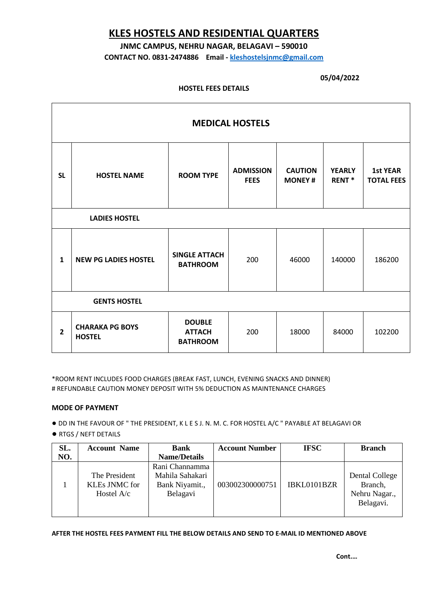# **KLES HOSTELS AND RESIDENTIAL QUARTERS**

## **JNMC CAMPUS, NEHRU NAGAR, BELAGAVI – 590010**

**CONTACT NO. 0831-2474886 Email - [kleshostelsjnmc@gmail.com](mailto:kleshostelsjnmc@gmail.com)**

#### **05/04/2022**

#### **HOSTEL FEES DETAILS**

| <b>MEDICAL HOSTELS</b> |                                         |                                                   |                                 |                                 |                                    |                                      |  |
|------------------------|-----------------------------------------|---------------------------------------------------|---------------------------------|---------------------------------|------------------------------------|--------------------------------------|--|
| <b>SL</b>              | <b>HOSTEL NAME</b>                      | <b>ROOM TYPE</b>                                  | <b>ADMISSION</b><br><b>FEES</b> | <b>CAUTION</b><br><b>MONEY#</b> | <b>YEARLY</b><br>RENT <sup>*</sup> | <b>1st YEAR</b><br><b>TOTAL FEES</b> |  |
| <b>LADIES HOSTEL</b>   |                                         |                                                   |                                 |                                 |                                    |                                      |  |
| $\mathbf{1}$           | <b>NEW PG LADIES HOSTEL</b>             | <b>SINGLE ATTACH</b><br><b>BATHROOM</b>           | 200                             | 46000                           | 140000                             | 186200                               |  |
| <b>GENTS HOSTEL</b>    |                                         |                                                   |                                 |                                 |                                    |                                      |  |
| $\overline{2}$         | <b>CHARAKA PG BOYS</b><br><b>HOSTEL</b> | <b>DOUBLE</b><br><b>ATTACH</b><br><b>BATHROOM</b> | 200                             | 18000                           | 84000                              | 102200                               |  |

\*ROOM RENT INCLUDES FOOD CHARGES (BREAK FAST, LUNCH, EVENING SNACKS AND DINNER) # REFUNDABLE CAUTION MONEY DEPOSIT WITH 5% DEDUCTION AS MAINTENANCE CHARGES

#### **MODE OF PAYMENT**

● DD IN THE FAVOUR OF " THE PRESIDENT, K L E S J. N. M. C. FOR HOSTEL A/C " PAYABLE AT BELAGAVI OR

● RTGS / NEFT DETAILS

| SL. | <b>Account Name</b>                                   | <b>Bank</b>                                                     | <b>Account Number</b> | <b>IFSC</b> | <b>Branch</b>                                           |
|-----|-------------------------------------------------------|-----------------------------------------------------------------|-----------------------|-------------|---------------------------------------------------------|
| NO. |                                                       | <b>Name/Details</b>                                             |                       |             |                                                         |
|     | The President<br><b>KLEs JNMC</b> for<br>Hostel $A/c$ | Rani Channamma<br>Mahila Sahakari<br>Bank Niyamit.,<br>Belagavi | 003002300000751       | IBKL0101BZR | Dental College<br>Branch,<br>Nehru Nagar.,<br>Belagavi. |

**AFTER THE HOSTEL FEES PAYMENT FILL THE BELOW DETAILS AND SEND TO E-MAIL ID MENTIONED ABOVE**

**Cont.…**